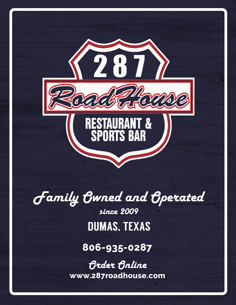

Family Owned and Operated since 2009

DUMAS, TEXAS

**806-935-0287**

Order Online **www.287roadhouse.com**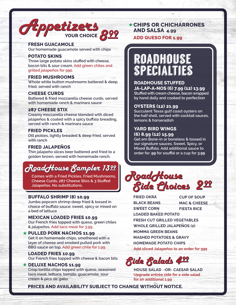# Appetizers Appetizers **YOUR CHOICE** <sup>899</sup>

**FRESH GUACAMOLE Our homemade guacamole served with chips**

#### **POTATO SKINS**

**Three large potato skins stuffed with cheese, bacon bits & sour cream. Add green chiles and grilled jalapeños for 99¢.**

#### **FRIED MUSHROOMS**

**Whole white button mushrooms battered & deep fried, served with ranch**

#### **CHEESE CURDS**

**Battered & fried mozzarella cheese curds, served with homemade ranch & marinara sauce**

#### **287 CHEESE STIX**

**Creamy mozzarella cheese blended with diced jalapeños & coated with a spicy buffalo breading, served with ranch & marinara sauce**

#### **FRIED PICKLES**

**Dill pickles, lightly breaded & deep fried, served with ranch**

#### **FRIED JALAPEÑOS**

**Thin jalapeño slices beer battered and fried to a golden brown, served with homemade ranch.**

### RoadHouse Bampler 13<u>99</u>

**Comes with a Fried Pickles, Fried Mushrooms, Cheese Curds, 287 Cheese Stixs & 3 Stuffed Jalapeños. No substitutions.**

#### **BUFFALO SHRIMP (8) 10.99**

**Jumbo popcorn shrimp deep fried & tossed in choice of buffalo sauce: sweet, spicy or mixed on a bed of lettuce**

**MEXICAN LOADED FRIES 10.99 Our French fries topped with queso, green chiles & jalapeños. Add taco meat for 3.99.**

**PULLED PORK NACHOS 11.99 Get it on homemade chips, smothered with a layer of cheese and smoked pulled pork with BBQ sauce on top. Add green chile for 1.99.**

**LOADED FRIES 10.99 Our French fries topped with cheese & bacon bits**

#### **DELUXE NACHOS 11.99 Crisp tortilla chips topped with queso, seasoned taco meat, lettuce, tomato, guacamole, sour cream & pico de gallo**

**CHIPS OR CHICHARRONES AND SALSA 4.99 ADD QUESO FOR 1.99**

### roadhouse specialties

#### **ROADHOUSE STUFFED**

**JA-LAP-A-NOS (6) 7.99 (12) 13.99 Stuffed with cream cheese, bacon wrapped by hand daily and cooked to perfection**

#### **OYSTERS (12) 21.99**

**Succulent Texas gulf coast oysters on the half shell, served with cocktail sauces, lemons & horseradish**

#### **YARD BIRD WINGS (6) 8.99 (12) 15.99**

**Get em Bone-in or boneless & tossed in our signature sauces, Sweet, Spicy, or Mixed Buffalo. Add additional sauce to order for .99 for soufflé or a cup for 3.99**



**FRIED OKRA BLACK BEANS SWEET CORN LOADED BAKED POTATO FRESH CUT GRILLED VEGETABLES WHOLE GRILLED JALAPEÑOS (2) MOMMA GREEN BEANS MASHED POTATOES & GRAVY HOMEMADE POTATO CHIPS Add sliced Jalapeños to an order for 99¢ CUP OF SOUP MAC & CHEESE FIESTA RICE**



**Upgrade entrée side for a side salad for an additional 1.99 HOUSE SALAD -OR- CAESAR SALAD**

**PRICES AND AVAILABILITY SUBJECT TO CHANGE WITHOUT NOTICE.**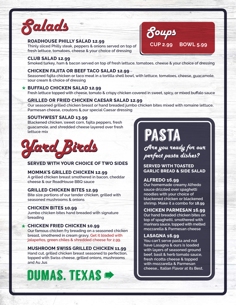

#### **ROADHOUSE PHILLY SALAD 12.99**

**Thinly sliced Philly steak, peppers & onions served on top of fresh lettuce, tomatoes, cheese & your choice of dressing**

#### **CLUB SALAD 12.99**

**Smoked turkey, ham & bacon served on top of fresh lettuce, tomatoes, cheese & your choice of dressing**

#### **CHICKEN FAJITA OR BEEF TACO SALAD 12.99**

**Seasoned fajita chicken or taco meat in a tortilla shell bowl, with lettuce, tomatoes, cheese, guacamole, sour cream & choice of dressing**

#### **BUFFALO CHICKEN SALAD 12.99**

**Fresh lettuce topped with cheese, tomato & crispy chicken covered in sweet, spicy, or mixed buffalo sauce**

#### **GRILLED OR FRIED CHICKEN CAESAR SALAD 12.99**

**Our seasoned grilled chicken breast or hand breaded jumbo chicken bites mixed with romaine lettuce, Parmesan cheese, croutons & our special Caesar dressing**

#### **SOUTHWEST SALAD 13.99**

**Blackened chicken, sweet corn, fajita peppers, fresh guacamole, and shredded cheese layered over fresh lettuce mix**



### **SERVED WITH YOUR CHOICE OF TWO SIDES**

**MOMMA'S GRILLED CHICKEN 12.99 A grilled chicken breast smothered in bacon, cheddar cheese & our RoadHouse BBQ sauce**

#### **GRILLED CHICKEN BITES 12.99**

**Bite size portions of our tender chicken, grilled with seasoned mushrooms & onions**

#### **CHICKEN BITES 10.99**

**Jumbo chicken bites hand breaded with signature breading**

#### **CHICKEN FRIED CHICKEN 10.99**

**Our famous chicken fry breading on a seasoned chicken breast, smothered in cream gravy. Get it loaded with jalapeños, green chiles & shredded cheese for 2.99.**

#### **MUSHROOM SWISS GRILLED CHICKEN 11.99**

**Hand cut, grilled chicken breast seasoned to perfection, topped with Swiss cheese, grilled onions, mushrooms and Au Jus**



## PASTA

Soups

Are you ready for our perfect pasta dishes?

**SERVED WITH TOASTED GARLIC BREAD & SIDE SALAD**

#### **ALFREDO 16.99**

**Our homemade creamy Alfredo sauce drizzled over spaghetti noodles with your choice of blackened chicken or blackened shrimp. Make it a combo for 18.99**

#### **CHICKEN PARMESAN 16.99**

**Our hand breaded chicken bites on top of spaghetti, smothered with marinara sauce, topped with melted mozzarella & Parmesan cheese**

#### **LASAGNA 16.99**

**You can't serve pasta and not have Lasagna & ours is loaded with layers of seasoned ground beef, basil & herb tomato sauce, fresh ricotta cheese & topped with mozzarella & Parmesan cheese… Italian Flavor at its Best.**

**CUP 2.99 BOWL 5.99**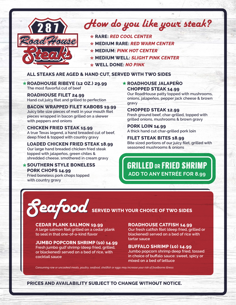

### How do you like your steak?

**RARE:** *RED COOL CENTER* **MEDIUM RARE:** *RED WARM CENTER* **MEDIUM:** *PINK HOT CENTER* **MEDIUM WELL:** *SLIGHT PINK CENTER* **WELL DONE:** *NO PINK*

#### **ALL STEAKS ARE AGED & HAND CUT, SERVED WITH TWO SIDES**

**ROADHOUSE RIBEYE (12 OZ.) 29.99 The most flavorful cut of beef**

**ROADHOUSE FILET 24.99 Hand cut juicy filet and grilled to perfection**

**BACON WRAPPED FILET KABOBS 19.99 Juicy bite size pieces of melt in your mouth filet pieces wrapped in bacon grilled on a skewer with peppers and onions**

**CHICKEN FRIED STEAK 15.99 A true Texas legend, a hand breaded cut of beef, deep fried & topped with country gravy**

**LOADED CHICKEN FRIED STEAK 18.99 Our large hand breaded chicken fried steak topped with jalapeños, green chiles & shredded cheese, smothered in cream gravy**

*<b>SOUTHERN STYLE BONELESS* **PORK CHOPS 14.99 Fried boneless pork chops topped with country gravy**

#### **ROADHOUSE JALAPEÑO CHOPPED STEAK 14.99 Our RoadHouse patty topped with mushrooms,**

**onions, jalapeños, pepper jack cheese & brown gravy**

**CHOPPED STEAK 12.99 Fresh ground beef, char-grilled, topped with grilled onions, mushrooms & brown gravy**

**PORK LOIN 14.99 A thick hand cut char-grilled pork loin**

**FILET STEAK BITES 18.99 Bite sized portions of our juicy filet, grilled with seasoned mushrooms & onions**

### **GRILLED OR FRIED SHRIMP ADD TO ANY ENTRÉE FOR 8.99**

**WITH YOUR CHOICE OF TWO SIDES** Seafood Seafood

#### **CEDAR PLANK SALMON 19.99**

**A large salmon filet grilled on a cedar plank to seal in that one-of-a-kind flavor**

#### **JUMBO POPCORN SHRIMP (10) 14.99**

**Fresh jumbo gulf shrimp (deep fried, grilled, or blackened) served on a bed of rice, with cocktail sauce**

#### **ROADHOUSE CATFISH 14.99**

**Our fresh catfish filet (deep fried, grilled or blackened) served on a bed of rice with tartar sauce**

#### **BUFFALO SHRIMP (10) 14.99**

**Jumbo popcorn shrimp deep fried, tossed in choice of buffalo sauce: sweet, spicy or mixed on a bed of lettuce**

*Consuming raw or uncooked meats, poultry, seafood, shellfish or eggs may increase your risk of foodborne illness*

**PRICES AND AVAILABILITY SUBJECT TO CHANGE WITHOUT NOTICE.**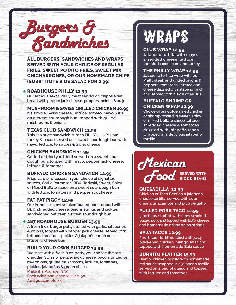

**ALL BURGERS, SANDWICHES AND WRAPS SERVED WITH YOUR CHOICE OF REGULAR FRIES, SWEET POTATO FRIES, SWEET MIX, CHICHARRONES, OR OUR HOMEMADE CHIPS (SUBSTITUTE SIDE SALAD FOR 2.99)**

#### **ROADHOUSE PHILLY 11.99**

**Our famous Texas Philly meat served on chipotle flat bread with pepper jack cheese, peppers, onions & au jus.**

#### **MUSHROOM & SWISS GRILLED CHICKEN 10.99**

**It's simple, Swiss cheese, lettuce, tomato, mayo & it's on a sweet sourdough bun, topped with grilled mushrooms & onions**

#### **TEXAS CLUB SANDWICH 11.99**

**This is a huge sandwich sure to FILL YOU UP! Ham, turkey & bacon served on a sweet sourdough bun with mayo, lettuce, tomatoes & Swiss cheese**

#### **CHICKEN SANDWICH 11.99**

**Grilled or fried yard-bird served on a sweet sourdough bun, topped with mayo, pepper jack cheese, lettuce & tomatoes**

#### **BUFFALO CHICKEN SANDWICH 12.99**

**Fried yard bird tossed in your choice of signature sauces, Garlic Parmesan, BBQ, Teriyaki, Sweet, Spicy, or Mixed Buffalo sauce on a sweet sour dough bun with lettuce, tomatoes and pepperjack cheese**

#### **FAT PAT PIGGY 12.99**

**Our in-house, slow smoked pulled pork topped with BBQ, shredded cheese, onions strings and pickles sandwiched between a sweet sour dough bun**

#### **287 ROADHOUSE BURGER 13.99**

**A fresh 8 oz. burger patty stuffed with garlic, jalapeños & onions, topped with pepper jack cheese, served with lettuce, tomatoes, pickles & jalapeño ranch on a jalapeño cheese bun**

#### **BUILD YOUR OWN BURGER 13.99**

**We start with a fresh 8 oz. patty, you choose the rest: cheddar, Swiss or pepper jack cheese, bacon, grilled or raw onions, grilled mushrooms, lettuce, tomatoes, pickles, jalapeños & green chiles. Make it a Pounder 3.99 Each additional cheese slice .50 Add guacamole .99**

## WRAPS

**Jalapeño tortilla with mayo, shredded cheese, lettuce, tomato, bacon, ham and turkey** 

#### **THE PHILLY WRAP 12.99**

**Jalapeño tortilla wrap with our Philly steak and grilled onions & peppers, tomatoes, lettuce and cheese drizzled with jalapeño ranch and served with a side of Au Jus**

#### **BUFFALO SHRIMP OR CHICKEN WRAP 12.99**

**Choice of our golden fried chicken or shrimp tossed in sweet, spicy or mixed buffalo sauce, lettuce shredded cheese & tomatoes drizzled with jalapeño ranch wrapped in a delicious jalapeño tortilla**



#### **QUESADILLA 12.99**

**Chicken or Taco Beef on a jalapeño cheese tortilla, served with sour cream, guacamole and pico de gallo.**

#### **PULLED PORK TACO 12.99**

**3 tortillas stuffed with slow smoked pulled pork and topped with BBQ, cheese and homemade crispy onion strings**

#### **BAJA TACOS 12.99**

**3 soft flour tortillas filled with juicy blackened chicken, mango salsa and topped with homemade Baja sauce**

#### **BURRITO PLATTER 15.99**

**Beef or chicken burrito with homemade red sauce wrapped in a jalapeño tortilla served on a bed of queso and topped with lettuce and tomatoes**